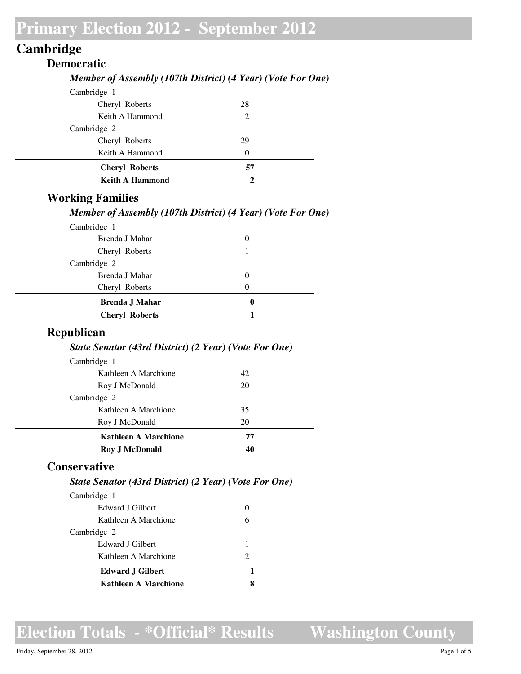## **Cambridge**

### **Democratic** *Member of Assembly (107th District) (4 Year) (Vote For One)* Cambridge 1 Cheryl Roberts 28 Keith A Hammond 2 Cambridge 2 Cheryl Roberts 29 Keith A Hammond 0 **Cheryl Roberts 57 Keith A Hammond 2**

### **Working Families**

#### *Member of Assembly (107th District) (4 Year) (Vote For One)*

| $\theta$ |
|----------|
|          |
|          |
| $\theta$ |
| $\theta$ |
| 0        |
|          |
|          |

#### **Republican**

#### *State Senator (43rd District) (2 Year) (Vote For One)*

| <b>Roy J McDonald</b>       | 40 |  |
|-----------------------------|----|--|
| <b>Kathleen A Marchione</b> | 77 |  |
| Roy J McDonald              | 20 |  |
| Kathleen A Marchione        | 35 |  |
| Cambridge 2                 |    |  |
| Roy J McDonald              | 20 |  |
| Kathleen A Marchione        | 42 |  |
| Cambridge 1                 |    |  |

### **Conservative**

#### *State Senator (43rd District) (2 Year) (Vote For One)*

| Cambridge 1             |                             |  |
|-------------------------|-----------------------------|--|
| Edward J Gilbert        |                             |  |
| Kathleen A Marchione    | 6                           |  |
| Cambridge 2             |                             |  |
| Edward J Gilbert        | 1                           |  |
| Kathleen A Marchione    | $\mathcal{D}_{\mathcal{L}}$ |  |
| <b>Edward J Gilbert</b> |                             |  |
| Kathleen A Marchione    | 8                           |  |

## **Election Totals - \*Official\* Results**

**Washington County**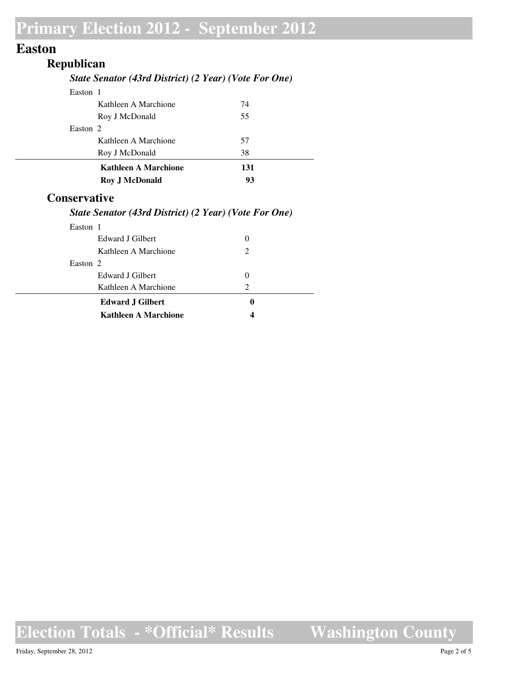## **Easton**

## **Republican**

#### *State Senator (43rd District) (2 Year) (Vote For One)*

| <b>Roy J McDonald</b>       | 93  |  |
|-----------------------------|-----|--|
| <b>Kathleen A Marchione</b> | 131 |  |
| Roy J McDonald              | 38  |  |
| Kathleen A Marchione        | 57  |  |
| Easton 2                    |     |  |
| Roy J McDonald              | 55  |  |
| Kathleen A Marchione        | 74  |  |
| Easton 1                    |     |  |

### **Conservative**

#### *State Senator (43rd District) (2 Year) (Vote For One)*

| Easton 1 |                         |               |
|----------|-------------------------|---------------|
|          | Edward J Gilbert        | $\theta$      |
|          | Kathleen A Marchione    | 2             |
| Easton 2 |                         |               |
|          | Edward J Gilbert        | $\theta$      |
|          | Kathleen A Marchione    | $\mathcal{D}$ |
|          | <b>Edward J Gilbert</b> | 0             |
|          | Kathleen A Marchione    |               |
|          |                         |               |

## **Election Totals - \*Official\* Results**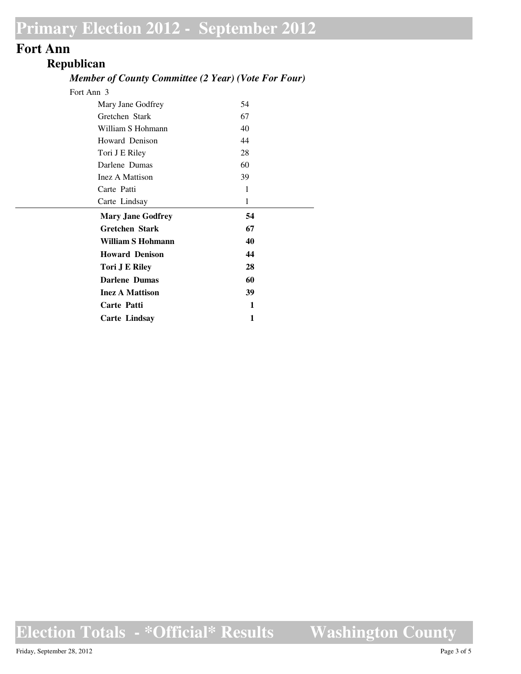### **Fort Ann**

### **Republican**

#### *Member of County Committee (2 Year) (Vote For Four)*

| Fort Ann 3               |    |  |
|--------------------------|----|--|
| Mary Jane Godfrey        | 54 |  |
| Gretchen Stark           | 67 |  |
| William S Hohmann        | 40 |  |
| Howard Denison           | 44 |  |
| Tori J E Riley           | 28 |  |
| Darlene Dumas            | 60 |  |
| Inez A Mattison          | 39 |  |
| Carte Patti              | 1  |  |
| Carte Lindsay            | 1  |  |
|                          |    |  |
| <b>Mary Jane Godfrey</b> | 54 |  |
| <b>Gretchen Stark</b>    | 67 |  |
| <b>William S Hohmann</b> | 40 |  |
| <b>Howard Denison</b>    | 44 |  |
| <b>Tori J E Riley</b>    | 28 |  |
| <b>Darlene Dumas</b>     | 60 |  |
| <b>Inez A Mattison</b>   | 39 |  |
| <b>Carte Patti</b>       | 1  |  |
| <b>Carte Lindsay</b>     | 1  |  |

**Election Totals - \*Official\* Results**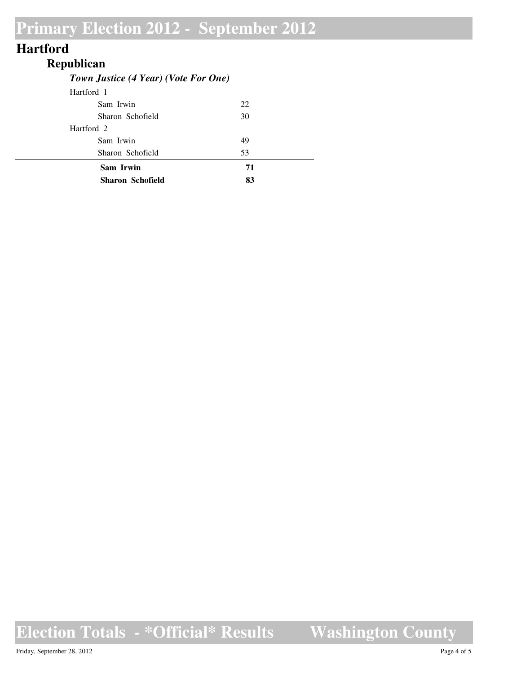## **Hartford**

## **Republican**

### *Town Justice (4 Year) (Vote For One)*

| <b>Sharon Schofield</b> | 83 |
|-------------------------|----|
| Sam Irwin               | 71 |
| Sharon Schofield        | 53 |
| Sam Irwin               | 49 |
| Hartford 2              |    |
| Sharon Schofield        | 30 |
| Sam Irwin               | 22 |
| Hartford 1              |    |

# **Election Totals - \*Official\* Results**

**Washington County**